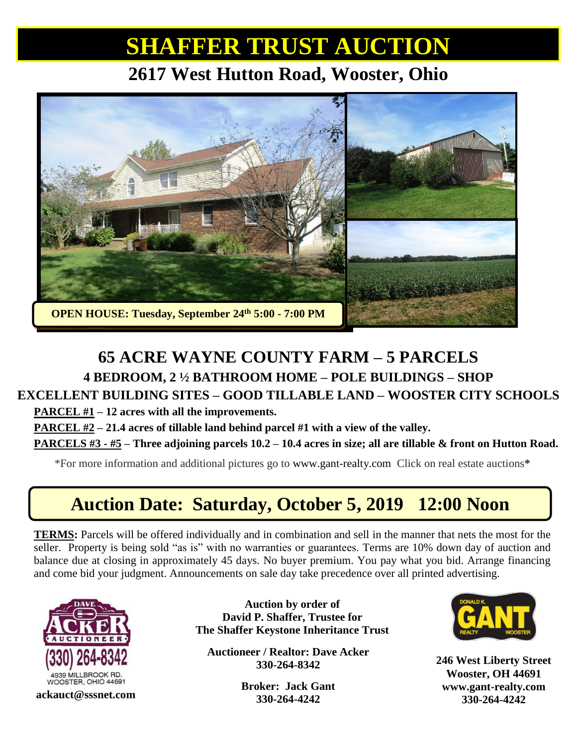## **SHAFFER TRUST AUCTION**

#### **2617 West Hutton Road, Wooster, Ohio**



## **65 ACRE WAYNE COUNTY FARM – 5 PARCELS 4 BEDROOM, 2 ½ BATHROOM HOME – POLE BUILDINGS – SHOP**

#### **EXCELLENT BUILDING SITES – GOOD TILLABLE LAND – WOOSTER CITY SCHOOLS**

**PARCEL #1 – 12 acres with all the improvements.**

**PARCEL #2 – 21.4 acres of tillable land behind parcel #1 with a view of the valley.**

**PARCELS #3 - #5 – Three adjoining parcels 10.2 – 10.4 acres in size; all are tillable & front on Hutton Road.**

\*For more information and additional pictures go to [www.gant-realty.com](http://www.gant-realty.com/) Click on real estate auctions**\***

## **Auction Date: Saturday, October 5, 2019 12:00 Noon**

**TERMS:** Parcels will be offered individually and in combination and sell in the manner that nets the most for the seller. Property is being sold "as is" with no warranties or guarantees. Terms are 10% down day of auction and balance due at closing in approximately 45 days. No buyer premium. You pay what you bid. Arrange financing and come bid your judgment. Announcements on sale day take precedence over all printed advertising.



**Auction by order of David P. Shaffer, Trustee for The Shaffer Keystone Inheritance Trust**

**Auctioneer / Realtor: Dave Acker 330-264-8342**

**Broker: Jack Gant 330-264-4242 330-264-4242 ackauct@sssnet.com 330-264-4242 ackauct ackauct ackauct ackauct ackauct ackauct ackauct 330-264-4242** 



**246 West Liberty Street Wooster, OH 44691 [www.gant-realty.com](http://www.gant-realty.com/)**